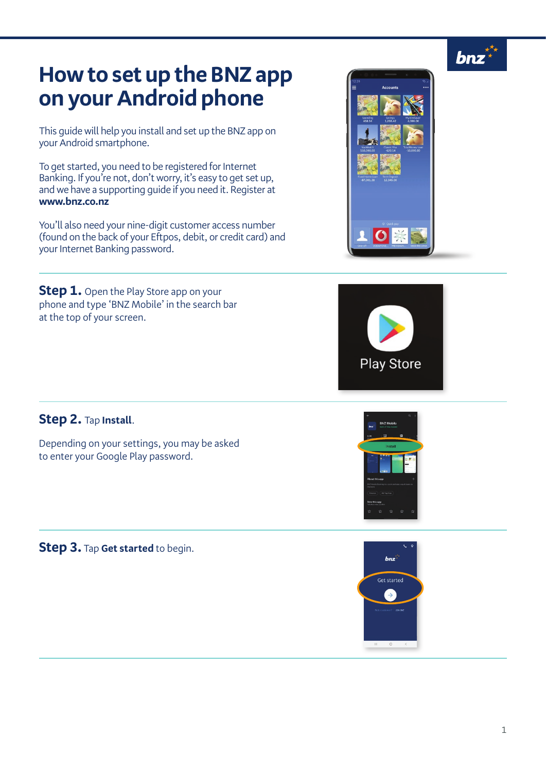

 $$ 

## **How to set up the BNZ app on your Android phone**

This guide will help you install and set up the BNZ app on your Android smartphone.

To get started, you need to be registered for Internet Banking. If you're not, don't worry, it's easy to get set up, and we have a supporting guide if you need it. Register at **www.bnz.co.nz**

You'll also need your nine-digit customer access number (found on the back of your Eftpos, debit, or credit card) and your Internet Banking password.

**Step 1.** Open the Play Store app on your phone and type 'BNZ Mobile' in the search bar at the top of your screen.





## **Step 2.** Tap **Install**.

Depending on your settings, you may be asked to enter your Google Play password.

**Step 3.** Tap **Get started** to begin.



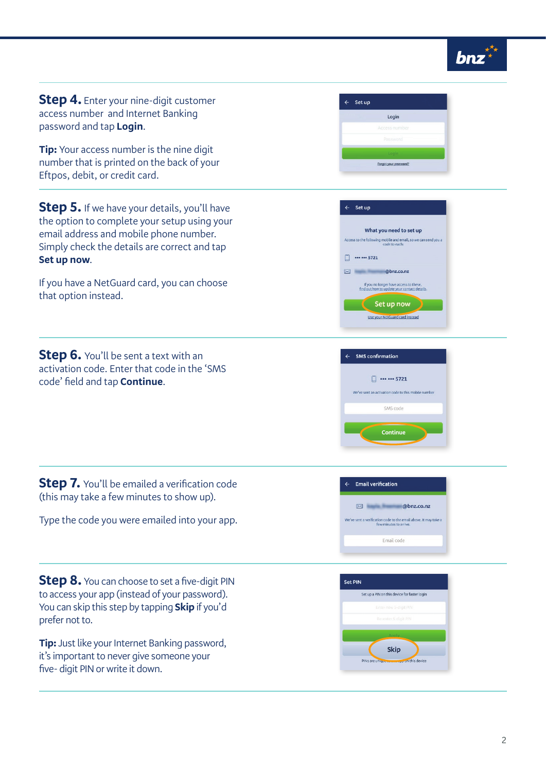